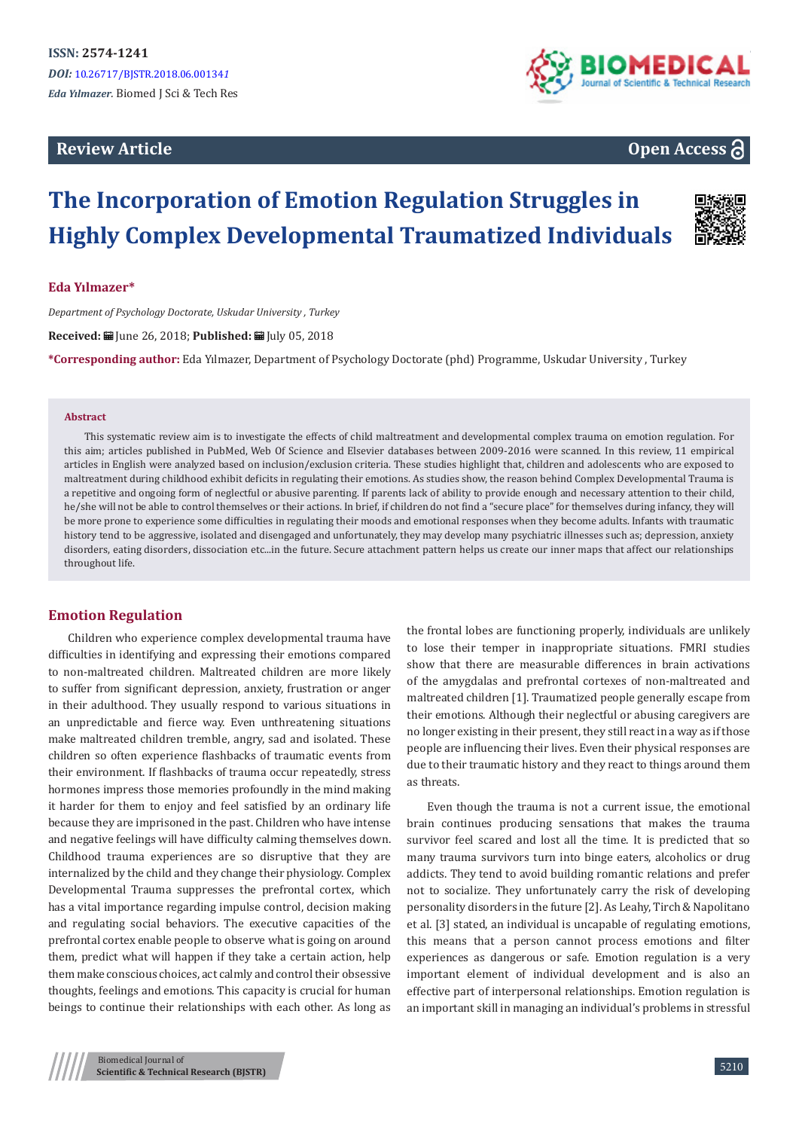## **Review Article**



## **Open Access**

# **The Incorporation of Emotion Regulation Struggles in Highly Complex Developmental Traumatized Individuals**



## **Eda Yılmazer\***

*Department of Psychology Doctorate, Uskudar University , Turkey*

Received: **■** June 26, 2018; Published: ■ July 05, 2018

**\*Corresponding author:** Eda Yılmazer, Department of Psychology Doctorate (phd) Programme, Uskudar University , Turkey

#### **Abstract**

This systematic review aim is to investigate the effects of child maltreatment and developmental complex trauma on emotion regulation. For this aim; articles published in PubMed, Web Of Science and Elsevier databases between 2009-2016 were scanned. In this review, 11 empirical articles in English were analyzed based on inclusion/exclusion criteria. These studies highlight that, children and adolescents who are exposed to maltreatment during childhood exhibit deficits in regulating their emotions. As studies show, the reason behind Complex Developmental Trauma is a repetitive and ongoing form of neglectful or abusive parenting. If parents lack of ability to provide enough and necessary attention to their child, he/she will not be able to control themselves or their actions. In brief, if children do not find a "secure place" for themselves during infancy, they will be more prone to experience some difficulties in regulating their moods and emotional responses when they become adults. Infants with traumatic history tend to be aggressive, isolated and disengaged and unfortunately, they may develop many psychiatric illnesses such as; depression, anxiety disorders, eating disorders, dissociation etc...in the future. Secure attachment pattern helps us create our inner maps that affect our relationships throughout life.

### **Emotion Regulation**

Children who experience complex developmental trauma have difficulties in identifying and expressing their emotions compared to non-maltreated children. Maltreated children are more likely to suffer from significant depression, anxiety, frustration or anger in their adulthood. They usually respond to various situations in an unpredictable and fierce way. Even unthreatening situations make maltreated children tremble, angry, sad and isolated. These children so often experience flashbacks of traumatic events from their environment. If flashbacks of trauma occur repeatedly, stress hormones impress those memories profoundly in the mind making it harder for them to enjoy and feel satisfied by an ordinary life because they are imprisoned in the past. Children who have intense and negative feelings will have difficulty calming themselves down. Childhood trauma experiences are so disruptive that they are internalized by the child and they change their physiology. Complex Developmental Trauma suppresses the prefrontal cortex, which has a vital importance regarding impulse control, decision making and regulating social behaviors. The executive capacities of the prefrontal cortex enable people to observe what is going on around them, predict what will happen if they take a certain action, help them make conscious choices, act calmly and control their obsessive thoughts, feelings and emotions. This capacity is crucial for human beings to continue their relationships with each other. As long as

the frontal lobes are functioning properly, individuals are unlikely to lose their temper in inappropriate situations. FMRI studies show that there are measurable differences in brain activations of the amygdalas and prefrontal cortexes of non-maltreated and maltreated children [1]. Traumatized people generally escape from their emotions. Although their neglectful or abusing caregivers are no longer existing in their present, they still react in a way as if those people are influencing their lives. Even their physical responses are due to their traumatic history and they react to things around them as threats.

Even though the trauma is not a current issue, the emotional brain continues producing sensations that makes the trauma survivor feel scared and lost all the time. It is predicted that so many trauma survivors turn into binge eaters, alcoholics or drug addicts. They tend to avoid building romantic relations and prefer not to socialize. They unfortunately carry the risk of developing personality disorders in the future [2]. As Leahy, Tirch & Napolitano et al. [3] stated, an individual is uncapable of regulating emotions, this means that a person cannot process emotions and filter experiences as dangerous or safe. Emotion regulation is a very important element of individual development and is also an effective part of interpersonal relationships. Emotion regulation is an important skill in managing an individual's problems in stressful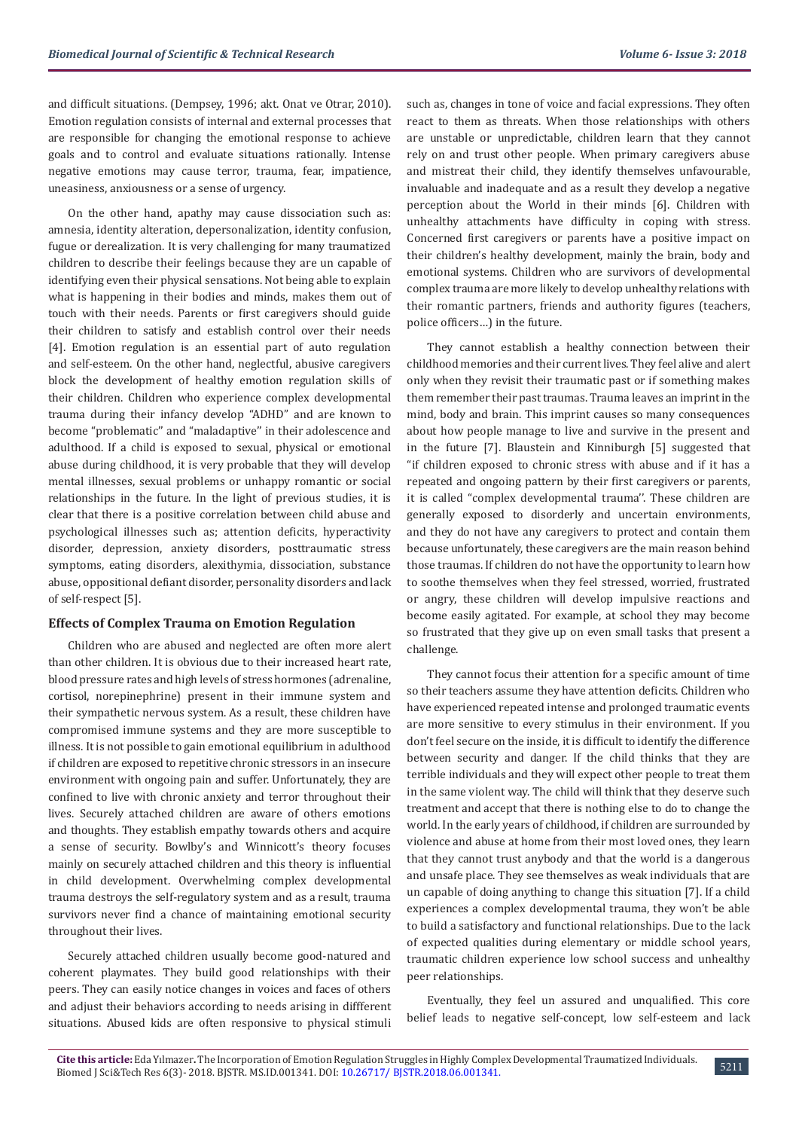and difficult situations. (Dempsey, 1996; akt. Onat ve Otrar, 2010). Emotion regulation consists of internal and external processes that are responsible for changing the emotional response to achieve goals and to control and evaluate situations rationally. Intense negative emotions may cause terror, trauma, fear, impatience, uneasiness, anxiousness or a sense of urgency.

On the other hand, apathy may cause dissociation such as: amnesia, identity alteration, depersonalization, identity confusion, fugue or derealization. It is very challenging for many traumatized children to describe their feelings because they are un capable of identifying even their physical sensations. Not being able to explain what is happening in their bodies and minds, makes them out of touch with their needs. Parents or first caregivers should guide their children to satisfy and establish control over their needs [4]. Emotion regulation is an essential part of auto regulation and self-esteem. On the other hand, neglectful, abusive caregivers block the development of healthy emotion regulation skills of their children. Children who experience complex developmental trauma during their infancy develop "ADHD" and are known to become "problematic'' and "maladaptive'' in their adolescence and adulthood. If a child is exposed to sexual, physical or emotional abuse during childhood, it is very probable that they will develop mental illnesses, sexual problems or unhappy romantic or social relationships in the future. In the light of previous studies, it is clear that there is a positive correlation between child abuse and psychological illnesses such as; attention deficits, hyperactivity disorder, depression, anxiety disorders, posttraumatic stress symptoms, eating disorders, alexithymia, dissociation, substance abuse, oppositional defiant disorder, personality disorders and lack of self-respect [5].

### **Effects of Complex Trauma on Emotion Regulation**

Children who are abused and neglected are often more alert than other children. It is obvious due to their increased heart rate, blood pressure rates and high levels of stress hormones (adrenaline, cortisol, norepinephrine) present in their immune system and their sympathetic nervous system. As a result, these children have compromised immune systems and they are more susceptible to illness. It is not possible to gain emotional equilibrium in adulthood if children are exposed to repetitive chronic stressors in an insecure environment with ongoing pain and suffer. Unfortunately, they are confined to live with chronic anxiety and terror throughout their lives. Securely attached children are aware of others emotions and thoughts. They establish empathy towards others and acquire a sense of security. Bowlby's and Winnicott's theory focuses mainly on securely attached children and this theory is influential in child development. Overwhelming complex developmental trauma destroys the self-regulatory system and as a result, trauma survivors never find a chance of maintaining emotional security throughout their lives.

Securely attached children usually become good-natured and coherent playmates. They build good relationships with their peers. They can easily notice changes in voices and faces of others and adjust their behaviors according to needs arising in diffferent situations. Abused kids are often responsive to physical stimuli

such as, changes in tone of voice and facial expressions. They often react to them as threats. When those relationships with others are unstable or unpredictable, children learn that they cannot rely on and trust other people. When primary caregivers abuse and mistreat their child, they identify themselves unfavourable, invaluable and inadequate and as a result they develop a negative perception about the World in their minds [6]. Children with unhealthy attachments have difficulty in coping with stress. Concerned first caregivers or parents have a positive impact on their children's healthy development, mainly the brain, body and emotional systems. Children who are survivors of developmental complex trauma are more likely to develop unhealthy relations with their romantic partners, friends and authority figures (teachers, police officers…) in the future.

They cannot establish a healthy connection between their childhood memories and their current lives. They feel alive and alert only when they revisit their traumatic past or if something makes them remember their past traumas. Trauma leaves an imprint in the mind, body and brain. This imprint causes so many consequences about how people manage to live and survive in the present and in the future [7]. Blaustein and Kinniburgh [5] suggested that "if children exposed to chronic stress with abuse and if it has a repeated and ongoing pattern by their first caregivers or parents, it is called "complex developmental trauma''. These children are generally exposed to disorderly and uncertain environments, and they do not have any caregivers to protect and contain them because unfortunately, these caregivers are the main reason behind those traumas. If children do not have the opportunity to learn how to soothe themselves when they feel stressed, worried, frustrated or angry, these children will develop impulsive reactions and become easily agitated. For example, at school they may become so frustrated that they give up on even small tasks that present a challenge.

They cannot focus their attention for a specific amount of time so their teachers assume they have attention deficits. Children who have experienced repeated intense and prolonged traumatic events are more sensitive to every stimulus in their environment. If you don't feel secure on the inside, it is difficult to identify the difference between security and danger. If the child thinks that they are terrible individuals and they will expect other people to treat them in the same violent way. The child will think that they deserve such treatment and accept that there is nothing else to do to change the world. In the early years of childhood, if children are surrounded by violence and abuse at home from their most loved ones, they learn that they cannot trust anybody and that the world is a dangerous and unsafe place. They see themselves as weak individuals that are un capable of doing anything to change this situation [7]. If a child experiences a complex developmental trauma, they won't be able to build a satisfactory and functional relationships. Due to the lack of expected qualities during elementary or middle school years, traumatic children experience low school success and unhealthy peer relationships.

Eventually, they feel un assured and unqualified. This core belief leads to negative self-concept, low self-esteem and lack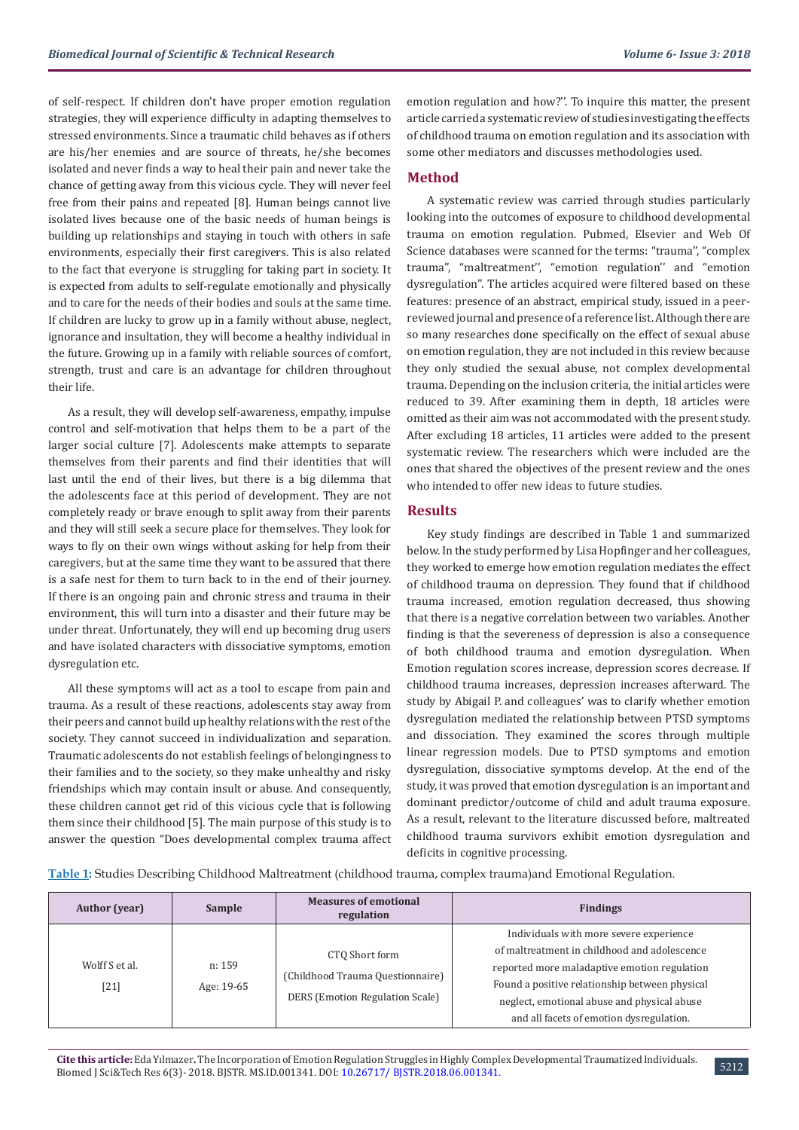of self-respect. If children don't have proper emotion regulation strategies, they will experience difficulty in adapting themselves to stressed environments. Since a traumatic child behaves as if others are his/her enemies and are source of threats, he/she becomes isolated and never finds a way to heal their pain and never take the chance of getting away from this vicious cycle. They will never feel free from their pains and repeated [8]. Human beings cannot live isolated lives because one of the basic needs of human beings is building up relationships and staying in touch with others in safe environments, especially their first caregivers. This is also related to the fact that everyone is struggling for taking part in society. It is expected from adults to self-regulate emotionally and physically and to care for the needs of their bodies and souls at the same time. If children are lucky to grow up in a family without abuse, neglect, ignorance and insultation, they will become a healthy individual in the future. Growing up in a family with reliable sources of comfort, strength, trust and care is an advantage for children throughout their life.

As a result, they will develop self-awareness, empathy, impulse control and self-motivation that helps them to be a part of the larger social culture [7]. Adolescents make attempts to separate themselves from their parents and find their identities that will last until the end of their lives, but there is a big dilemma that the adolescents face at this period of development. They are not completely ready or brave enough to split away from their parents and they will still seek a secure place for themselves. They look for ways to fly on their own wings without asking for help from their caregivers, but at the same time they want to be assured that there is a safe nest for them to turn back to in the end of their journey. If there is an ongoing pain and chronic stress and trauma in their environment, this will turn into a disaster and their future may be under threat. Unfortunately, they will end up becoming drug users and have isolated characters with dissociative symptoms, emotion dysregulation etc.

All these symptoms will act as a tool to escape from pain and trauma. As a result of these reactions, adolescents stay away from their peers and cannot build up healthy relations with the rest of the society. They cannot succeed in individualization and separation. Traumatic adolescents do not establish feelings of belongingness to their families and to the society, so they make unhealthy and risky friendships which may contain insult or abuse. And consequently, these children cannot get rid of this vicious cycle that is following them since their childhood [5]. The main purpose of this study is to answer the question "Does developmental complex trauma affect emotion regulation and how?''. To inquire this matter, the present article carried a systematic review of studies investigating the effects of childhood trauma on emotion regulation and its association with some other mediators and discusses methodologies used.

## **Method**

A systematic review was carried through studies particularly looking into the outcomes of exposure to childhood developmental trauma on emotion regulation. Pubmed, Elsevier and Web Of Science databases were scanned for the terms: "trauma'', "complex trauma'', "maltreatment'', "emotion regulation'' and "emotion dysregulation''. The articles acquired were filtered based on these features: presence of an abstract, empirical study, issued in a peerreviewed journal and presence of a reference list. Although there are so many researches done specifically on the effect of sexual abuse on emotion regulation, they are not included in this review because they only studied the sexual abuse, not complex developmental trauma. Depending on the inclusion criteria, the initial articles were reduced to 39. After examining them in depth, 18 articles were omitted as their aim was not accommodated with the present study. After excluding 18 articles, 11 articles were added to the present systematic review. The researchers which were included are the ones that shared the objectives of the present review and the ones who intended to offer new ideas to future studies.

## **Results**

Key study findings are described in Table 1 and summarized below. In the study performed by Lisa Hopfinger and her colleagues, they worked to emerge how emotion regulation mediates the effect of childhood trauma on depression. They found that if childhood trauma increased, emotion regulation decreased, thus showing that there is a negative correlation between two variables. Another finding is that the severeness of depression is also a consequence of both childhood trauma and emotion dysregulation. When Emotion regulation scores increase, depression scores decrease. If childhood trauma increases, depression increases afterward. The study by Abigail P. and colleagues' was to clarify whether emotion dysregulation mediated the relationship between PTSD symptoms and dissociation. They examined the scores through multiple linear regression models. Due to PTSD symptoms and emotion dysregulation, dissociative symptoms develop. At the end of the study, it was proved that emotion dysregulation is an important and dominant predictor/outcome of child and adult trauma exposure. As a result, relevant to the literature discussed before, maltreated childhood trauma survivors exhibit emotion dysregulation and deficits in cognitive processing.

**Table 1:** Studies Describing Childhood Maltreatment (childhood trauma, complex trauma)and Emotional Regulation.

| <b>Author</b> (year)     | Sample               | <b>Measures of emotional</b><br>regulation                                                   | <b>Findings</b>                                                                                                                                                                                                                                                                      |
|--------------------------|----------------------|----------------------------------------------------------------------------------------------|--------------------------------------------------------------------------------------------------------------------------------------------------------------------------------------------------------------------------------------------------------------------------------------|
| Wolff S et al.<br>$[21]$ | n: 159<br>Age: 19-65 | CTO Short form<br>(Childhood Trauma Questionnaire)<br><b>DERS</b> (Emotion Regulation Scale) | Individuals with more severe experience<br>of maltreatment in childhood and adolescence<br>reported more maladaptive emotion regulation<br>Found a positive relationship between physical<br>neglect, emotional abuse and physical abuse<br>and all facets of emotion dysregulation. |

**Cite this article:** Eda Yılmazer**.** The Incorporation of Emotion Regulation Struggles in Highly Complex Developmental Traumatized Individuals. Che uns article: Eda filmazer. The incorporation of Emotion Regulation Struggles in Highly Complex Developmental Traumatized Individuals. 5212<br>Biomed J Sci&Tech Res 6(3)- 2018. BJSTR. MS.ID.001341. DOI: 10.26717/ BJSTR.201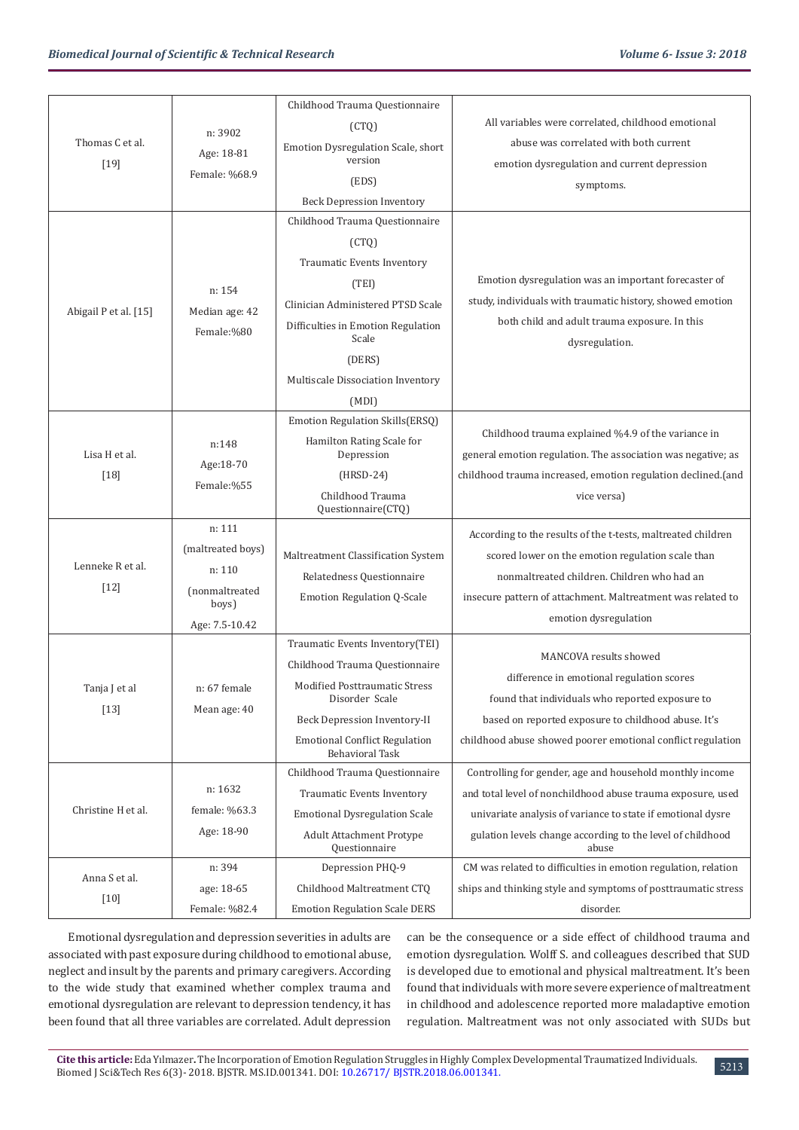| Thomas C et al.<br>$[19]$ |                   | Childhood Trauma Questionnaire                                         |                                                                     |
|---------------------------|-------------------|------------------------------------------------------------------------|---------------------------------------------------------------------|
|                           | n: 3902           | (CTQ)                                                                  | All variables were correlated, childhood emotional                  |
|                           | Age: 18-81        | Emotion Dysregulation Scale, short<br>version                          | abuse was correlated with both current                              |
|                           | Female: %68.9     | (EDS)                                                                  | emotion dysregulation and current depression                        |
|                           |                   |                                                                        | symptoms.                                                           |
| Abigail P et al. [15]     |                   | <b>Beck Depression Inventory</b><br>Childhood Trauma Questionnaire     |                                                                     |
|                           |                   | (CTQ)                                                                  |                                                                     |
|                           |                   | Traumatic Events Inventory                                             |                                                                     |
|                           |                   | (TEI)                                                                  | Emotion dysregulation was an important forecaster of                |
|                           | n: 154            | Clinician Administered PTSD Scale                                      | study, individuals with traumatic history, showed emotion           |
|                           | Median age: 42    |                                                                        | both child and adult trauma exposure. In this                       |
|                           | Female:%80        | Difficulties in Emotion Regulation<br>Scale                            | dysregulation.                                                      |
|                           |                   | (DERS)                                                                 |                                                                     |
|                           |                   | Multiscale Dissociation Inventory                                      |                                                                     |
|                           |                   | (MDI)                                                                  |                                                                     |
| Lisa H et al.             |                   | Emotion Regulation Skills(ERSQ)                                        | Childhood trauma explained %4.9 of the variance in                  |
|                           | n:148             | Hamilton Rating Scale for<br>Depression                                | general emotion regulation. The association was negative; as        |
|                           | Age:18-70         | $(HRSD-24)$                                                            | childhood trauma increased, emotion regulation declined.(and        |
| $[18]$                    | Female:%55        | Childhood Trauma                                                       |                                                                     |
|                           |                   | Questionnaire(CTQ)                                                     | vice versa)                                                         |
| Lenneke R et al.          | n: 111            |                                                                        | According to the results of the t-tests, maltreated children        |
|                           | (maltreated boys) | Maltreatment Classification System                                     | scored lower on the emotion regulation scale than                   |
|                           | n: 110            | Relatedness Questionnaire                                              | nonmaltreated children. Children who had an                         |
| $[12]$                    | (nonmaltreated    | <b>Emotion Regulation Q-Scale</b>                                      | insecure pattern of attachment. Maltreatment was related to         |
|                           | boys)             |                                                                        | emotion dysregulation                                               |
|                           | Age: 7.5-10.42    |                                                                        |                                                                     |
| Tanja J et al<br>$[13]$   |                   | Traumatic Events Inventory(TEI)                                        | MANCOVA results showed                                              |
|                           |                   | Childhood Trauma Questionnaire<br><b>Modified Posttraumatic Stress</b> | difference in emotional regulation scores                           |
|                           | n: 67 female      | Disorder Scale                                                         | found that individuals who reported exposure to                     |
|                           | Mean age: 40      | Beck Depression Inventory-II                                           | based on reported exposure to childhood abuse. It's                 |
|                           |                   | <b>Emotional Conflict Regulation</b><br><b>Behavioral Task</b>         | childhood abuse showed poorer emotional conflict regulation         |
| Christine H et al.        |                   | Childhood Trauma Questionnaire                                         | Controlling for gender, age and household monthly income            |
|                           | n: 1632           | Traumatic Events Inventory                                             | and total level of nonchildhood abuse trauma exposure, used         |
|                           | female: %63.3     | <b>Emotional Dysregulation Scale</b>                                   | univariate analysis of variance to state if emotional dysre         |
|                           | Age: 18-90        | Adult Attachment Protype<br>Questionnaire                              | gulation levels change according to the level of childhood<br>abuse |
| Anna S et al.<br>$[10]$   | n: 394            | Depression PHQ-9                                                       | CM was related to difficulties in emotion regulation, relation      |
|                           | age: 18-65        | Childhood Maltreatment CTQ                                             | ships and thinking style and symptoms of posttraumatic stress       |
|                           | Female: %82.4     | <b>Emotion Regulation Scale DERS</b>                                   | disorder.                                                           |

Emotional dysregulation and depression severities in adults are associated with past exposure during childhood to emotional abuse, neglect and insult by the parents and primary caregivers. According to the wide study that examined whether complex trauma and emotional dysregulation are relevant to depression tendency, it has been found that all three variables are correlated. Adult depression

can be the consequence or a side effect of childhood trauma and emotion dysregulation. Wolff S. and colleagues described that SUD is developed due to emotional and physical maltreatment. It's been found that individuals with more severe experience of maltreatment in childhood and adolescence reported more maladaptive emotion regulation. Maltreatment was not only associated with SUDs but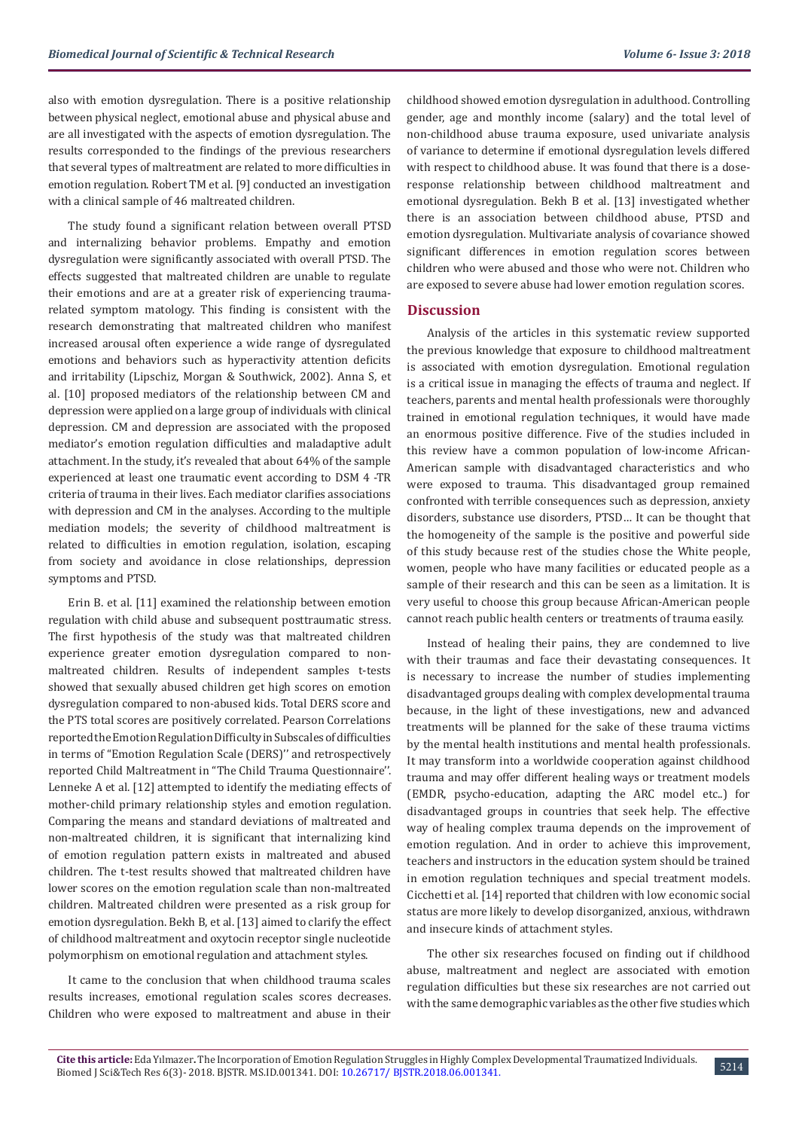also with emotion dysregulation. There is a positive relationship between physical neglect, emotional abuse and physical abuse and are all investigated with the aspects of emotion dysregulation. The results corresponded to the findings of the previous researchers that several types of maltreatment are related to more difficulties in emotion regulation. Robert TM et al. [9] conducted an investigation with a clinical sample of 46 maltreated children.

The study found a significant relation between overall PTSD and internalizing behavior problems. Empathy and emotion dysregulation were significantly associated with overall PTSD. The effects suggested that maltreated children are unable to regulate their emotions and are at a greater risk of experiencing traumarelated symptom matology. This finding is consistent with the research demonstrating that maltreated children who manifest increased arousal often experience a wide range of dysregulated emotions and behaviors such as hyperactivity attention deficits and irritability (Lipschiz, Morgan & Southwick, 2002). Anna S, et al. [10] proposed mediators of the relationship between CM and depression were applied on a large group of individuals with clinical depression. CM and depression are associated with the proposed mediator's emotion regulation difficulties and maladaptive adult attachment. In the study, it's revealed that about 64% of the sample experienced at least one traumatic event according to DSM 4 -TR criteria of trauma in their lives. Each mediator clarifies associations with depression and CM in the analyses. According to the multiple mediation models; the severity of childhood maltreatment is related to difficulties in emotion regulation, isolation, escaping from society and avoidance in close relationships, depression symptoms and PTSD.

Erin B. et al. [11] examined the relationship between emotion regulation with child abuse and subsequent posttraumatic stress. The first hypothesis of the study was that maltreated children experience greater emotion dysregulation compared to nonmaltreated children. Results of independent samples t-tests showed that sexually abused children get high scores on emotion dysregulation compared to non-abused kids. Total DERS score and the PTS total scores are positively correlated. Pearson Correlations reported the Emotion Regulation Difficulty in Subscales of difficulties in terms of "Emotion Regulation Scale (DERS)'' and retrospectively reported Child Maltreatment in "The Child Trauma Questionnaire''. Lenneke A et al. [12] attempted to identify the mediating effects of mother-child primary relationship styles and emotion regulation. Comparing the means and standard deviations of maltreated and non-maltreated children, it is significant that internalizing kind of emotion regulation pattern exists in maltreated and abused children. The t-test results showed that maltreated children have lower scores on the emotion regulation scale than non-maltreated children. Maltreated children were presented as a risk group for emotion dysregulation. Bekh B, et al. [13] aimed to clarify the effect of childhood maltreatment and oxytocin receptor single nucleotide polymorphism on emotional regulation and attachment styles.

It came to the conclusion that when childhood trauma scales results increases, emotional regulation scales scores decreases. Children who were exposed to maltreatment and abuse in their childhood showed emotion dysregulation in adulthood. Controlling gender, age and monthly income (salary) and the total level of non-childhood abuse trauma exposure, used univariate analysis of variance to determine if emotional dysregulation levels differed with respect to childhood abuse. It was found that there is a doseresponse relationship between childhood maltreatment and emotional dysregulation. Bekh B et al. [13] investigated whether there is an association between childhood abuse, PTSD and emotion dysregulation. Multivariate analysis of covariance showed significant differences in emotion regulation scores between children who were abused and those who were not. Children who are exposed to severe abuse had lower emotion regulation scores.

## **Discussion**

Analysis of the articles in this systematic review supported the previous knowledge that exposure to childhood maltreatment is associated with emotion dysregulation. Emotional regulation is a critical issue in managing the effects of trauma and neglect. If teachers, parents and mental health professionals were thoroughly trained in emotional regulation techniques, it would have made an enormous positive difference. Five of the studies included in this review have a common population of low-income African-American sample with disadvantaged characteristics and who were exposed to trauma. This disadvantaged group remained confronted with terrible consequences such as depression, anxiety disorders, substance use disorders, PTSD… It can be thought that the homogeneity of the sample is the positive and powerful side of this study because rest of the studies chose the White people, women, people who have many facilities or educated people as a sample of their research and this can be seen as a limitation. It is very useful to choose this group because African-American people cannot reach public health centers or treatments of trauma easily.

Instead of healing their pains, they are condemned to live with their traumas and face their devastating consequences. It is necessary to increase the number of studies implementing disadvantaged groups dealing with complex developmental trauma because, in the light of these investigations, new and advanced treatments will be planned for the sake of these trauma victims by the mental health institutions and mental health professionals. It may transform into a worldwide cooperation against childhood trauma and may offer different healing ways or treatment models (EMDR, psycho-education, adapting the ARC model etc..) for disadvantaged groups in countries that seek help. The effective way of healing complex trauma depends on the improvement of emotion regulation. And in order to achieve this improvement, teachers and instructors in the education system should be trained in emotion regulation techniques and special treatment models. Cicchetti et al. [14] reported that children with low economic social status are more likely to develop disorganized, anxious, withdrawn and insecure kinds of attachment styles.

The other six researches focused on finding out if childhood abuse, maltreatment and neglect are associated with emotion regulation difficulties but these six researches are not carried out with the same demographic variables as the other five studies which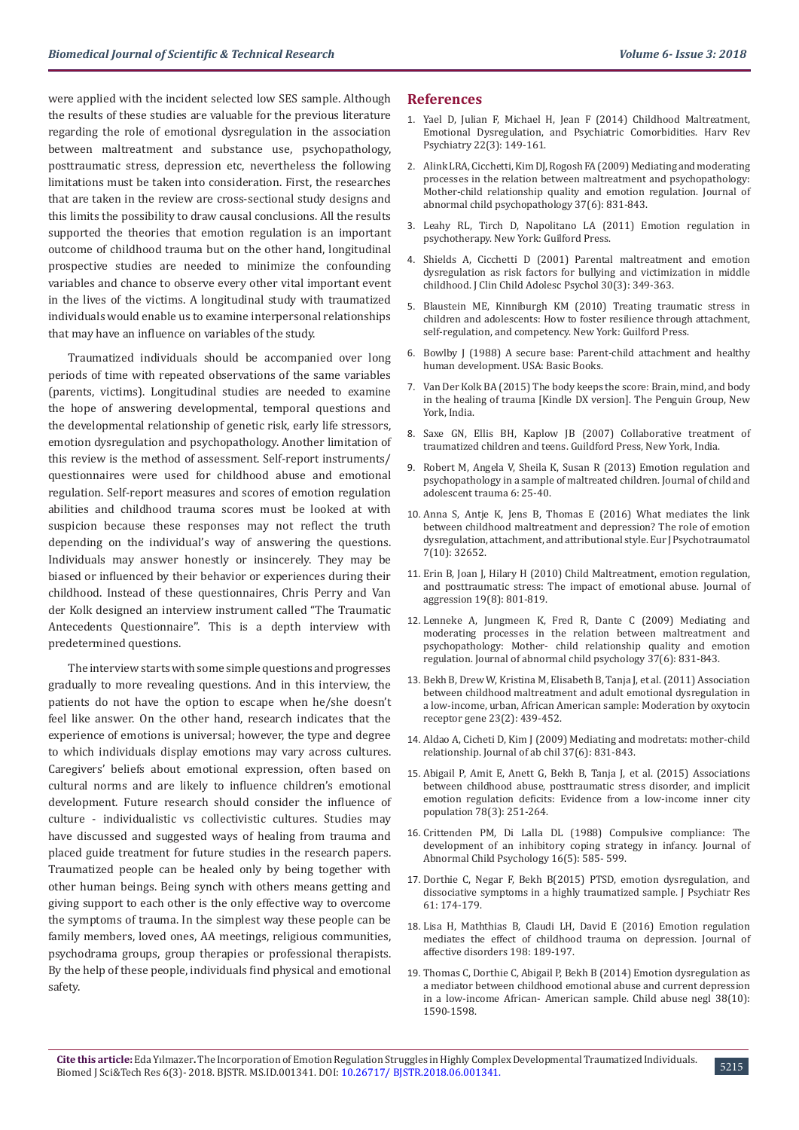were applied with the incident selected low SES sample. Although the results of these studies are valuable for the previous literature regarding the role of emotional dysregulation in the association between maltreatment and substance use, psychopathology, posttraumatic stress, depression etc, nevertheless the following limitations must be taken into consideration. First, the researches that are taken in the review are cross-sectional study designs and this limits the possibility to draw causal conclusions. All the results supported the theories that emotion regulation is an important outcome of childhood trauma but on the other hand, longitudinal prospective studies are needed to minimize the confounding variables and chance to observe every other vital important event in the lives of the victims. A longitudinal study with traumatized individuals would enable us to examine interpersonal relationships that may have an influence on variables of the study.

Traumatized individuals should be accompanied over long periods of time with repeated observations of the same variables (parents, victims). Longitudinal studies are needed to examine the hope of answering developmental, temporal questions and the developmental relationship of genetic risk, early life stressors, emotion dysregulation and psychopathology. Another limitation of this review is the method of assessment. Self-report instruments/ questionnaires were used for childhood abuse and emotional regulation. Self-report measures and scores of emotion regulation abilities and childhood trauma scores must be looked at with suspicion because these responses may not reflect the truth depending on the individual's way of answering the questions. Individuals may answer honestly or insincerely. They may be biased or influenced by their behavior or experiences during their childhood. Instead of these questionnaires, Chris Perry and Van der Kolk designed an interview instrument called "The Traumatic Antecedents Questionnaire''. This is a depth interview with predetermined questions.

The interview starts with some simple questions and progresses gradually to more revealing questions. And in this interview, the patients do not have the option to escape when he/she doesn't feel like answer. On the other hand, research indicates that the experience of emotions is universal; however, the type and degree to which individuals display emotions may vary across cultures. Caregivers' beliefs about emotional expression, often based on cultural norms and are likely to influence children's emotional development. Future research should consider the influence of culture - individualistic vs collectivistic cultures. Studies may have discussed and suggested ways of healing from trauma and placed guide treatment for future studies in the research papers. Traumatized people can be healed only by being together with other human beings. Being synch with others means getting and giving support to each other is the only effective way to overcome the symptoms of trauma. In the simplest way these people can be family members, loved ones, AA meetings, religious communities, psychodrama groups, group therapies or professional therapists. By the help of these people, individuals find physical and emotional safety.

#### **References**

- 1. [Yael D, Julian F, Michael H, Jean F \(2014\) Childhood Maltreatment,](https://www.ncbi.nlm.nih.gov/pmc/articles/PMC4091823/) [Emotional Dysregulation, and Psychiatric Comorbidities. Harv Rev](https://www.ncbi.nlm.nih.gov/pmc/articles/PMC4091823/) [Psychiatry 22\(3\): 149-161.](https://www.ncbi.nlm.nih.gov/pmc/articles/PMC4091823/)
- 2. [Alink LRA, Cicchetti, Kim DJ, Rogosh FA \(2009\) Mediating and moderating](https://www.ncbi.nlm.nih.gov/pmc/articles/PMC2708329/) [processes in the relation between maltreatment and psychopathology:](https://www.ncbi.nlm.nih.gov/pmc/articles/PMC2708329/) [Mother-child relationship quality and emotion regulation. Journal of](https://www.ncbi.nlm.nih.gov/pmc/articles/PMC2708329/) [abnormal child psychopathology 37\(6\): 831-843.](https://www.ncbi.nlm.nih.gov/pmc/articles/PMC2708329/)
- 3. [Leahy RL, Tirch D, Napolitano LA \(2011\) Emotion regulation in](https://www.guilford.com/books/Emotion-Regulation-in-Psychotherapy/Leahy-Tirch-Napolitano/9781609184834) [psychotherapy. New York: Guilford Press.](https://www.guilford.com/books/Emotion-Regulation-in-Psychotherapy/Leahy-Tirch-Napolitano/9781609184834)
- 4. [Shields A, Cicchetti D \(2001\) Parental maltreatment and emotion](https://www.ncbi.nlm.nih.gov/pubmed/11501252) [dysregulation as risk factors for bullying and victimization in middle](https://www.ncbi.nlm.nih.gov/pubmed/11501252) [childhood. J Clin Child Adolesc Psychol 30\(3\): 349-363.](https://www.ncbi.nlm.nih.gov/pubmed/11501252)
- 5. [Blaustein ME, Kinniburgh KM \(2010\) Treating traumatic stress in](https://www.guilford.com/books/Treating-Traumatic-Stress-in-Children-and-Adolescents/Blaustein-Kinniburgh/9781606236253) [children and adolescents: How to foster resilience through attachment,](https://www.guilford.com/books/Treating-Traumatic-Stress-in-Children-and-Adolescents/Blaustein-Kinniburgh/9781606236253) [self-regulation, and competency. New York: Guilford Press.](https://www.guilford.com/books/Treating-Traumatic-Stress-in-Children-and-Adolescents/Blaustein-Kinniburgh/9781606236253)
- 6. [Bowlby J \(1988\) A secure base: Parent-child attachment and healthy](https://pdfs.semanticscholar.org/545b/983942722792c0e0c48b699aced98323d13e.pdf) [human development. USA: Basic Books.](https://pdfs.semanticscholar.org/545b/983942722792c0e0c48b699aced98323d13e.pdf)
- 7. [Van Der Kolk BA \(2015\) The body keeps the score: Brain, mind, and body](https://www.amazon.com/Body-Keeps-Score-Healing-Trauma-ebook/dp/B00G3L1C2K) [in the healing of trauma \[Kindle DX version\]. The Penguin Group, New](https://www.amazon.com/Body-Keeps-Score-Healing-Trauma-ebook/dp/B00G3L1C2K) [York, India.](https://www.amazon.com/Body-Keeps-Score-Healing-Trauma-ebook/dp/B00G3L1C2K)
- 8. [Saxe GN, Ellis BH, Kaplow JB \(2007\) Collaborative treatment of](http://psycnet.apa.org/record/2006-22230-000) [traumatized children and teens. Guildford Press, New York, India.](http://psycnet.apa.org/record/2006-22230-000)
- 9. [Robert M, Angela V, Sheila K, Susan R \(2013\) Emotion regulation and](https://link.springer.com/article/10.1080/19361521.2013.737441) [psychopathology in a sample of maltreated children. Journal of child and](https://link.springer.com/article/10.1080/19361521.2013.737441) [adolescent trauma 6: 25-40](https://link.springer.com/article/10.1080/19361521.2013.737441).
- 10. [Anna S, Antje K, Jens B, Thomas E \(2016\) What mediates the link](https://www.ncbi.nlm.nih.gov/pubmed/27790969) [between childhood maltreatment and depression? The role of emotion](https://www.ncbi.nlm.nih.gov/pubmed/27790969) [dysregulation, attachment, and attributional style. Eur J Psychotraumatol](https://www.ncbi.nlm.nih.gov/pubmed/27790969) [7\(10\): 32652.](https://www.ncbi.nlm.nih.gov/pubmed/27790969)
- 11. [Erin B, Joan J, Hilary H \(2010\) Child Maltreatment, emotion regulation,](https://www.tandfonline.com/doi/abs/10.1080/10926771.2010.522947) [and posttraumatic stress: The impact of emotional abuse. Journal of](https://www.tandfonline.com/doi/abs/10.1080/10926771.2010.522947) [aggression 19\(8\): 801-819.](https://www.tandfonline.com/doi/abs/10.1080/10926771.2010.522947)
- 12. [Lenneke A, Jungmeen K, Fred R, Dante C \(2009\) Mediating and](https://www.ncbi.nlm.nih.gov/pmc/articles/PMC2708329/) [moderating processes in the relation between maltreatment and](https://www.ncbi.nlm.nih.gov/pmc/articles/PMC2708329/) [psychopathology: Mother- child relationship quality and emotion](https://www.ncbi.nlm.nih.gov/pmc/articles/PMC2708329/) [regulation. Journal of abnormal child psychology 37\(6\): 831-843.](https://www.ncbi.nlm.nih.gov/pmc/articles/PMC2708329/)
- 13. [Bekh B, Drew W, Kristina M, Elisabeth B, Tanja J, et al. \(2011\) Association](https://www.ncbi.nlm.nih.gov/pubmed/23786688) [between childhood maltreatment and adult emotional dysregulation in](https://www.ncbi.nlm.nih.gov/pubmed/23786688) [a low-income, urban, African American sample: Moderation by oxytocin](https://www.ncbi.nlm.nih.gov/pubmed/23786688) [receptor gene 23\(2\): 439-452.](https://www.ncbi.nlm.nih.gov/pubmed/23786688)
- 14. Aldao A, Cicheti D, Kim J (2009) Mediating and modretats: mother-child relationship. Journal of ab chil 37(6): 831-843.
- 15. [Abigail P, Amit E, Anett G, Bekh B, Tanja J, et al. \(2015\) Associations](https://www.ncbi.nlm.nih.gov/pmc/articles/PMC4705548/) [between childhood abuse, posttraumatic stress disorder, and implicit](https://www.ncbi.nlm.nih.gov/pmc/articles/PMC4705548/) [emotion regulation deficits: Evidence from a low-income inner city](https://www.ncbi.nlm.nih.gov/pmc/articles/PMC4705548/) [population 78\(3\): 251-264.](https://www.ncbi.nlm.nih.gov/pmc/articles/PMC4705548/)
- 16. [Crittenden PM, Di Lalla DL \(1988\) Compulsive compliance: The](https://www.ncbi.nlm.nih.gov/pubmed/3235749) [development of an inhibitory coping strategy in infancy. Journal of](https://www.ncbi.nlm.nih.gov/pubmed/3235749) [Abnormal Child Psychology 16\(5\): 585- 599.](https://www.ncbi.nlm.nih.gov/pubmed/3235749)
- 17. [Dorthie C, Negar F, Bekh B\(2015\) PTSD, emotion dysregulation, and](https://www.ncbi.nlm.nih.gov/pubmed/25573648) [dissociative symptoms in a highly traumatized sample. J Psychiatr Res](https://www.ncbi.nlm.nih.gov/pubmed/25573648) [61: 174-179.](https://www.ncbi.nlm.nih.gov/pubmed/25573648)
- 18. [Lisa H, Maththias B, Claudi LH, David E \(2016\) Emotion regulation](https://www.ncbi.nlm.nih.gov/pubmed/27018937) [mediates the effect of childhood trauma on depression. Journal of](https://www.ncbi.nlm.nih.gov/pubmed/27018937) [affective disorders 198: 189-197.](https://www.ncbi.nlm.nih.gov/pubmed/27018937)
- 19. [Thomas C, Dorthie C, Abigail P, Bekh B \(2014\) Emotion dysregulation as](https://www.ncbi.nlm.nih.gov/pubmed/25035171) [a mediator between childhood emotional abuse and current depression](https://www.ncbi.nlm.nih.gov/pubmed/25035171) [in a low-income African- American sample. Child abuse negl 38\(10\):](https://www.ncbi.nlm.nih.gov/pubmed/25035171) [1590-1598.](https://www.ncbi.nlm.nih.gov/pubmed/25035171)